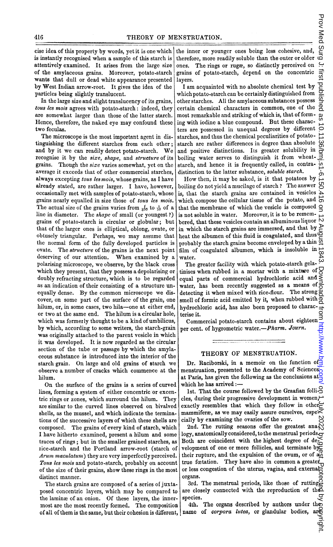cise idea of this property by words, yet it is one which is instantly recognised when a sample of this starch is attentively examined. It arises from the large size of the amylaceous grains. Moreover, potato-starch wants that dull or dead white appearance presented by West Indian arrow-root. It gives the idea of the particles being slightly translucent.

In thc large size and slight translucency of its grains, tous les mois agrees with potato-starch: indeed, they are somewhat larger than those of the latter starch. Hence, therefore, the naked eye may confound these two feculas.

The microscope is the most important agent in distinguishing the different starches from each other; and by it we can readily detect potato-starch. We recognise it by the size, shape, and structure of its grains. Though the size varies somewhat, yet on the average it exceeds that of other commercial starches, always excepting tous les mois, whose grains, as <sup>I</sup> have already stated, are rather larger. <sup>I</sup> have, however, occasionally met with samples of potato-starch, whose grains nearly equalled in size those of tous les mois. The actual size of the grains varies from  $\frac{1}{200}$  to  $\frac{1}{30}$  of a line in diameter. The shape of small (or youngest ?) grains of potato-starch is circular or globular; but that of the larger ones is elliptical, oblong, ovate, or obtusely triangular. Perhaps, we may assume that the normal form of the fully developed particles is ovate. The structure of the grains is the next point deserving of our attention. When examined by <sup>a</sup> polarising microscope, we observe, by the black cross which they present, that they possess a depolarising or doubly refracting structure, which is to be regarded as an indication of their consisting of a structure unequally dense. By the common microscope we discover, on some part of the surface of the grain, one hilum, or, in some cases, two hila-one at either end, or two at the same end. The hilum is a circular hole, which was formerly thought to be a kind of umbilicus, by which, according to some writers, the starch-grain was originally attached to the parent vesicle in which it was developed. It is now regarded as the circular section of the tube or passage by which the amylaceous substance is introduced into the interior of the starch grain. On large and old grains of starch we observe a number of cracks which commence at the hilum.

On the surface of the grains is a series of curved lines, forming a system of either concentric or excentric rings or zones, which surround the hilum. They are similar to the curved lines observed on bivalved shells, as the mussel, and which indicate the terminations of the successive layers of which these shells are composed. The grains of every kind of starch, which I have hitherto examined, present a hilum and some traces of rings; but in the smaller grained starches, as rice-starch and the Portland arrow-root (starch of  $A$ rum maculatum) they are very imperfectly perceived. Tous les mois and potato-starch, probably on account of the size of their grains, show these rings in the most distinct manner.

The starch grains are composed of a series of juxtaposed concentric layers, which may be compared to the laminae of an onion. Of these layers, the innermost are the most recently formed. The composition of all of them is the same, but their cohesion is different,

the inner or younger ones being less cohesive, and, therefore, more readily soluble than the outer or older ones. The rings or rugae, so distinctly perceived on grains of potato-starch, depend on the concentric layers.

<sup>I</sup> am acquainted with no absolute chemical test by whichpotato-starch can be certainly distinguished from other starches. All the amylaceous substances possess certain chemical characters in common, one of thc most remarkable and striking of which is, that of forming with iodine a blue compound. But these characters are possessed in unequal degrees by different starches, and thus the chemical peculiarities of potatostarch are rather differences in degree than absolute and positive distinctions. Its greater solubility in boiling water serves to distinguish it from wheatstarch, and hence it is frequently called, in contradistinction to the latter substance, soluble starch. STRUATION.<br>
is inner or gonager ones being less cohesive, and  $Q_2$ <br>
is the inige or ruge, so distinctly preceived to  $\frac{1}{12}$ <br>
inter or points of points are the inige or nuge, so distinctly preceived to  $\frac{1}{12}$ <br>
int

How then, it may be asked, is it that potatoes by boiling do not yield a mucilage of starch ? The answer is, that the starch grains are contained in vesicles which compose the cellular tissue of the potato, and  $\overline{0}$ that the membrane of which the vesicle is composed  $Q$ is not soluble in water. Moreover, it is to be remembered, that these vesicles contain an albuminous liquor  $\overline{N}$ in which the starch grains are immersed, and that by  $\geq$ heat the albumen of this fluid is coagulated, and thus probably the starch grains become enveloped by a thin  $\overline{a}$ film of coagulated albumen, which is insoluble in water.

The greater facility with which potato-starch gelatinises when rubbed in a mortar with a mixture of  $\Box$ equal parts of commercial hydrochloric acid and  $\leq$ water, has been recently suggested as a means of  $\frac{3}{6}$ detecting it when mixed with rice-flour. The strong  $\overline{Q}$ smell of formic acid emitted by it, when rubbed with  $\overline{0}$ hydrochloric acid, has also been proposed to characterise it.

Commercial potato-starch contains about eighteen per cent. of hygrometric water.-Pharm. Journ.

## THEORY OF MENSTRUATION.

Dr. Raciborski, in a memoir on the function of menstruation, presented to the Academy of Sciences at Paris, has given the following as the conclusions at which he has arrived:--

1st. That the course followed by the Graafian folli- $\triangle$ cles, during their progressive development in women, exactly resembles that which they follow in other mammiferæ, as we may easily assure ourselves, espe $\leq$ cially by examining the ovaries of the sow.

2nd. The rutting seasons offer the greatest analogy, anatomically considered, to the menstrual periods. Both are coincident with the highest degree of development of one or more follicles, and terminate by their rupture, and the expulsion of the ovum, or of  $a_{0}^{0}$ true fœtation. They have also in common a greater or less congestion of the uterus, vagina, and external organs.

3rd. The menstrual periods, like those of rutting are closely connected with the reproduction of the species.

4th. The organs described by authors under the